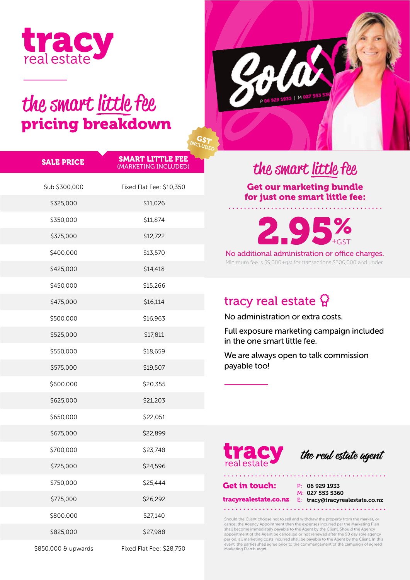

# the smart little fee pricing breakdown



| <b>SALE PRICE</b> | <b>SMART LITTLE FEE</b><br>(MARKETING INCLUDED) |
|-------------------|-------------------------------------------------|
| Sub \$300,000     | Fixed Flat Fee: \$10,350                        |
| \$325,000         | \$11,026                                        |
| \$350,000         | \$11,874                                        |
| \$375,000         | \$12,722                                        |
| \$400,000         | \$13,570                                        |
| \$425,000         | \$14,418                                        |
| \$450,000         | \$15,266                                        |
| \$475,000         | \$16,114                                        |
| \$500,000         | \$16,963                                        |
| \$525,000         | \$17,811                                        |
| \$550,000         | \$18,659                                        |
| \$575,000         | \$19,507                                        |
| \$600,000         | \$20,355                                        |
| \$625,000         | \$21,203                                        |
| \$650,000         | \$22,051                                        |
| \$675,000         | \$22,899                                        |
| \$700,000         | \$23,748                                        |
| \$725,000         | \$24,596                                        |
| \$750,000         | \$25,444                                        |
| \$775,000         | \$26,292                                        |
| \$800,000         | \$27,140                                        |
| \$825,000         | \$27,988                                        |
|                   |                                                 |

\$850,000 & upwards Fixed Flat Fee: \$28,750

## the smart little fee

Get our marketing bundle for just one smart little fee:

2.95% GST

Minimum fee is \$9,000+gst for transactions \$300,000 and under. No additional administration or office charges.

## tracy real estate  $\Omega$

No administration or extra costs.

Full exposure marketing campaign included in the one smart little fee.

We are always open to talk commission payable too!



the real estate agent

Get in touch: P: 06 929 1933

M: 027 553 5360 tracyrealestate.co.nz E: tracy@tracyrealestate.co.nz

Should the Client choose not to sell and withdraw the property from the market, or<br>cancel the Agency Appointment then the expenses incurred per the Marketing Plan<br>shall become immediately payable to the Agent by the Client Marketing Plan budget.